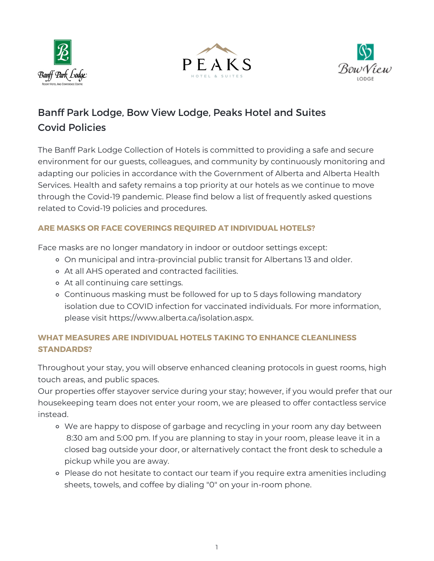





# Banff Park Lodge, Bow View Lodge, Peaks Hotel and Suites Covid Policies

The Banff Park Lodge Collection of Hotels is committed to providing a safe and secure environment for our guests, colleagues, and community by continuously monitoring and adapting our policies in accordance with the Government of Alberta and Alberta Health Services. Health and safety remains a top priority at our hotels as we continue to move through the Covid-19 pandemic. Please find below a list of frequently asked questions related to Covid-19 policies and procedures.

## **ARE MASKS OR FACE COVERINGS REQUIRED AT INDIVIDUAL HOTELS?**

Face masks are no longer mandatory in indoor or outdoor settings except:

- On municipal and intra-provincial public transit for Albertans 13 and older.
- At all AHS operated and contracted facilities.
- At all continuing care settings.
- Continuous masking must be followed for up to 5 days following mandatory isolation due to COVID infection for vaccinated individuals. For more information, please visit https://www.alberta.ca/isolation.aspx.

# **WHAT MEASURES ARE INDIVIDUAL HOTELS TAKING TO ENHANCE CLEANLINESS STANDARDS?**

Throughout your stay, you will observe enhanced cleaning protocols in guest rooms, high touch areas, and public spaces.

Our properties offer stayover service during your stay; however, if you would prefer that our housekeeping team does not enter your room, we are pleased to offer contactless service instead.

- We are happy to dispose of garbage and recycling in your room any day between 8:30 am and 5:00 pm. If you are planning to stay in your room, please leave it in a closed bag outside your door, or alternatively contact the front desk to schedule a pickup while you are away.
- Please do not hesitate to contact our team if you require extra amenities including sheets, towels, and coffee by dialing "0" on your in-room phone.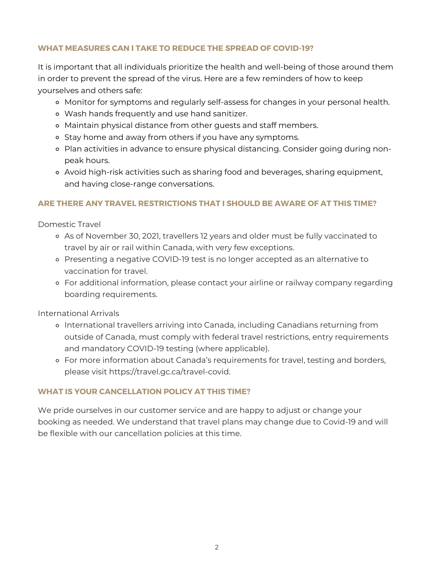## **WHAT MEASURES CAN I TAKE TO REDUCE THE SPREAD OF COVID-19?**

It is important that all individuals prioritize the health and well-being of those around them in order to prevent the spread of the virus. Here are a few reminders of how to keep yourselves and others safe:

- Monitor for symptoms and regularly self-assess for changes in your personal health.
- Wash hands frequently and use hand sanitizer.
- Maintain physical distance from other guests and staff members.
- Stay home and away from others if you have any symptoms.
- Plan activities in advance to ensure physical distancing. Consider going during nonpeak hours.
- Avoid high-risk activities such as sharing food and beverages, sharing equipment, and having close-range conversations.

## **ARE THERE ANY TRAVEL RESTRICTIONS THAT I SHOULD BE AWARE OF AT THIS TIME?**

Domestic Travel

- As of November 30, 2021, travellers 12 years and older must be fully vaccinated to travel by air or rail within [Canada,](https://travel.gc.ca/travel-covid/travel-restrictions/domestic-travel) with very few [exceptions.](https://www.canada.ca/en/public-health/news/2021/11/adjustments-to-canadas-border-and-travel-measures.html)
- Presenting a negative COVID-19 test is no longer accepted as an alternative to vaccination for travel.
- For additional information, please contact your airline or railway company regarding boarding requirements.

International Arrivals

- o International travellers arriving into Canada, including Canadians returning from outside of Canada, must comply with federal travel restrictions, entry requirements and mandatory COVID-19 testing (where applicable).
- For more information about Canada's [requirements](https://travel.gc.ca/travel-covid) for travel, testing and borders, please visit https://travel.gc.ca/travel-covid.

#### **WHAT IS YOUR CANCELLATION POLICY AT THIS TIME?**

We pride ourselves in our customer service and are happy to adjust or change your booking as needed. We understand that travel plans may change due to Covid-19 and will be flexible with our cancellation policies at this time.